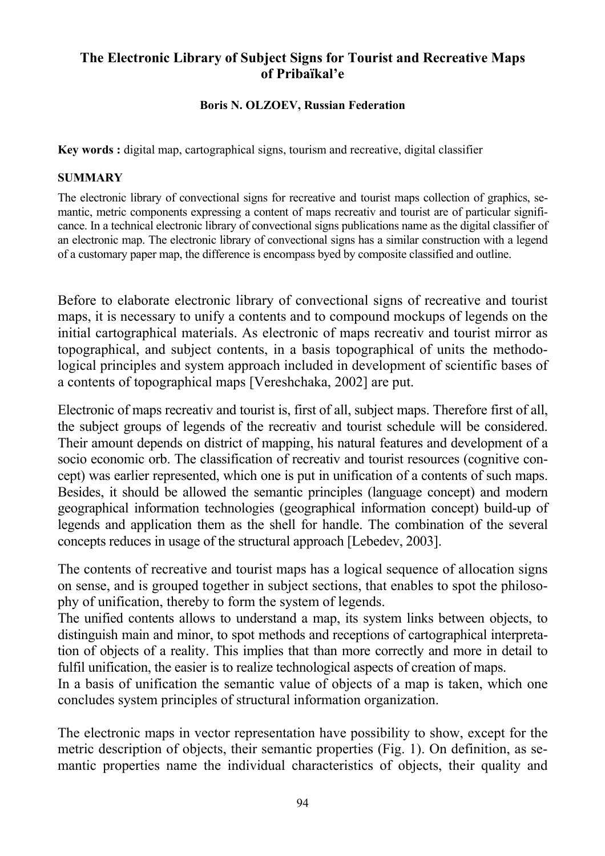# **The Electronic Library of Subject Signs for Tourist and Recreative Maps of Pribaïkal'e**

## **Boris N. OLZOEV, Russian Federation**

**Key words :** digital map, cartographical signs, tourism and recreative, digital classifier

#### **SUMMARY**

The electronic library of convectional signs for recreative and tourist maps collection of graphics, semantic, metric components expressing a content of maps recreativ and tourist are of particular significance. In a technical electronic library of convectional signs publications name as the digital classifier of an electronic map. The electronic library of convectional signs has a similar construction with a legend of a customary paper map, the difference is encompass byed by composite classified and outline.

Before to elaborate electronic library of convectional signs of recreative and tourist maps, it is necessary to unify a contents and to compound mockups of legends on the initial cartographical materials. As electronic of maps recreativ and tourist mirror as topographical, and subject contents, in a basis topographical of units the methodological principles and system approach included in development of scientific bases of a contents of topographical maps [Vereshchaka, 2002] are put.

Electronic of maps recreativ and tourist is, first of all, subject maps. Therefore first of all, the subject groups of legends of the recreativ and tourist schedule will be considered. Their amount depends on district of mapping, his natural features and development of a socio economic orb. The classification of recreativ and tourist resources (cognitive concept) was earlier represented, which one is put in unification of a contents of such maps. Besides, it should be allowed the semantic principles (language concept) and modern geographical information technologies (geographical information concept) build-up of legends and application them as the shell for handle. The combination of the several concepts reduces in usage of the structural approach [Lebedev, 2003].

The contents of recreative and tourist maps has a logical sequence of allocation signs on sense, and is grouped together in subject sections, that enables to spot the philosophy of unification, thereby to form the system of legends.

The unified contents allows to understand a map, its system links between objects, to distinguish main and minor, to spot methods and receptions of cartographical interpretation of objects of a reality. This implies that than more correctly and more in detail to fulfil unification, the easier is to realize technological aspects of creation of maps.

In a basis of unification the semantic value of objects of a map is taken, which one concludes system principles of structural information organization.

The electronic maps in vector representation have possibility to show, except for the metric description of objects, their semantic properties (Fig. 1). On definition, as semantic properties name the individual characteristics of objects, their quality and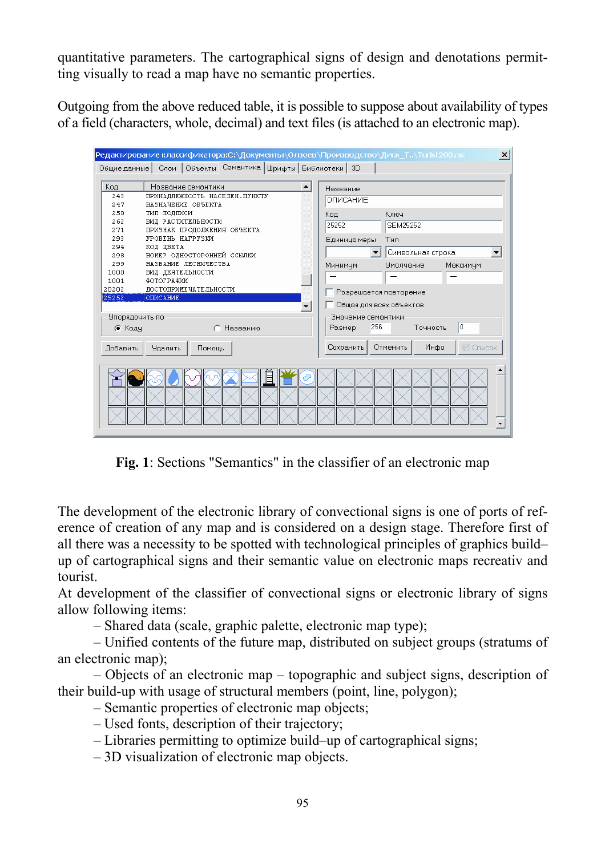quantitative parameters. The cartographical signs of design and denotations permitting visually to read a map have no semantic properties.

Outgoing from the above reduced table, it is possible to suppose about availability of types of a field (characters, whole, decimal) and text files (is attached to an electronic map).

| Редактирование классификатора:С:\Документы\Олзоев\Производство\Диск_T\Turist200.rsc<br>$\vert x \vert$ |                                                           |
|--------------------------------------------------------------------------------------------------------|-----------------------------------------------------------|
| Слои   Объекты Семантика   Шрифты   Библиотеки   3D<br>Общие данные                                    |                                                           |
| Код<br>Название семантики                                                                              | Название                                                  |
| 243<br>ПРИНАДЛЕЖНОСТЬ НАСЕЛЕН. ПУНКТУ<br>247<br>НАЗНАЧЕНИЕ ОБЪЕКТА                                     | ОПИСАНИЕ                                                  |
| 250<br>ТИП ПОДПИСИ<br>262<br>ВИД РАСТИТЕЛЬНОСТИ                                                        | Ключ<br>Код<br>25252<br><b>SEM25252</b>                   |
| 271<br>ПРИЗНАК ПРОДОЛЖЕНИЯ ОБЪЕКТА<br>УРОВЕНЬ НАГРУЗКИ<br>293                                          | Тип                                                       |
| 294<br>КОД ЦВЕТА<br>НОМЕР ОДНОСТОРОННЕЙ ССЫЛКИ<br>298                                                  | Единица меры<br>Символьная строка                         |
| НАЗВАНИЕ ЛЕСНИЧЕСТВА<br>299<br>1000<br>ВИД ДЕЯТЕЛЬНОСТИ<br>1001<br>ФОТОГРАФИИ                          | Максимчм<br>Минимум<br><b>Умолчание</b>                   |
| ДОСТОПРИМЕЧАТЕЛЬНОСТИ<br>20202<br>25252<br><b>ОПИСАНИЕ</b>                                             | Разрешается повторение                                    |
| Упорядочить по                                                                                         | Общая для всех объектов<br>Значение семантики<br>0<br>256 |
| ● Кодч<br>Названию                                                                                     | Точность<br>Размер                                        |
| <b>Удалить</b><br>Добавить<br>Помощь                                                                   | Отменить<br>Инфо<br>Сохранить<br>∉ Список                 |
| 旧                                                                                                      |                                                           |

**Fig. 1**: Sections "Semantics" in the classifier of an electronic map

The development of the electronic library of convectional signs is one of ports of reference of creation of any map and is considered on a design stage. Therefore first of all there was a necessity to be spotted with technological principles of graphics build– up of cartographical signs and their semantic value on electronic maps recreativ and tourist.

At development of the classifier of convectional signs or electronic library of signs allow following items:

– Shared data (scale, graphic palette, electronic map type);

– Unified contents of the future map, distributed on subject groups (stratums of an electronic map);

– Objects of an electronic map – topographic and subject signs, description of their build-up with usage of structural members (point, line, polygon);

– Semantic properties of electronic map objects;

– Used fonts, description of their trajectory;

– Libraries permitting to optimize build–up of cartographical signs;

– 3D visualization of electronic map objects.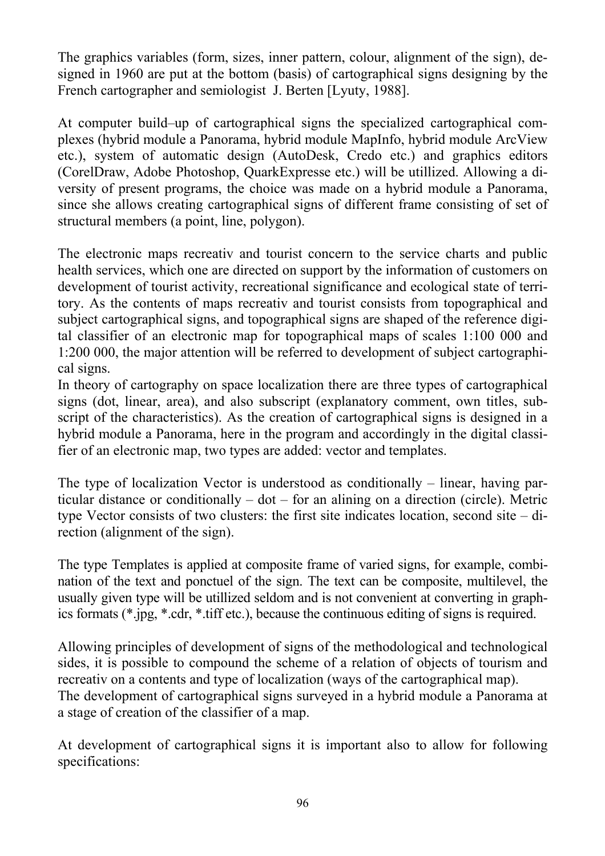The graphics variables (form, sizes, inner pattern, colour, alignment of the sign), designed in 1960 are put at the bottom (basis) of cartographical signs designing by the French cartographer and semiologist J. Berten [Lyuty, 1988].

At computer build–up of cartographical signs the specialized cartographical complexes (hybrid module a Panorama, hybrid module MapInfo, hybrid module ArcView etc.), system of automatic design (AutoDesk, Credo etc.) and graphics editors (CorelDraw, Adobe Photoshop, QuarkExpresse etc.) will be utillized. Allowing a diversity of present programs, the choice was made on a hybrid module a Panorama, since she allows creating cartographical signs of different frame consisting of set of structural members (a point, line, polygon).

The electronic maps recreativ and tourist concern to the service charts and public health services, which one are directed on support by the information of customers on development of tourist activity, recreational significance and ecological state of territory. As the contents of maps recreativ and tourist consists from topographical and subject cartographical signs, and topographical signs are shaped of the reference digital classifier of an electronic map for topographical maps of scales 1:100 000 and 1:200 000, the major attention will be referred to development of subject cartographical signs.

In theory of cartography on space localization there are three types of cartographical signs (dot, linear, area), and also subscript (explanatory comment, own titles, subscript of the characteristics). As the creation of cartographical signs is designed in a hybrid module a Panorama, here in the program and accordingly in the digital classifier of an electronic map, two types are added: vector and templates.

The type of localization Vector is understood as conditionally – linear, having particular distance or conditionally – dot – for an alining on a direction (circle). Metric type Vector consists of two clusters: the first site indicates location, second site – direction (alignment of the sign).

The type Templates is applied at composite frame of varied signs, for example, combination of the text and ponctuel of the sign. The text can be composite, multilevel, the usually given type will be utillized seldom and is not convenient at converting in graphics formats (\*.jpg, \*.cdr, \*.tiff etc.), because the continuous editing of signs is required.

Allowing principles of development of signs of the methodological and technological sides, it is possible to compound the scheme of a relation of objects of tourism and recreativ on a contents and type of localization (ways of the cartographical map). The development of cartographical signs surveyed in a hybrid module a Panorama at a stage of creation of the classifier of a map.

At development of cartographical signs it is important also to allow for following specifications: